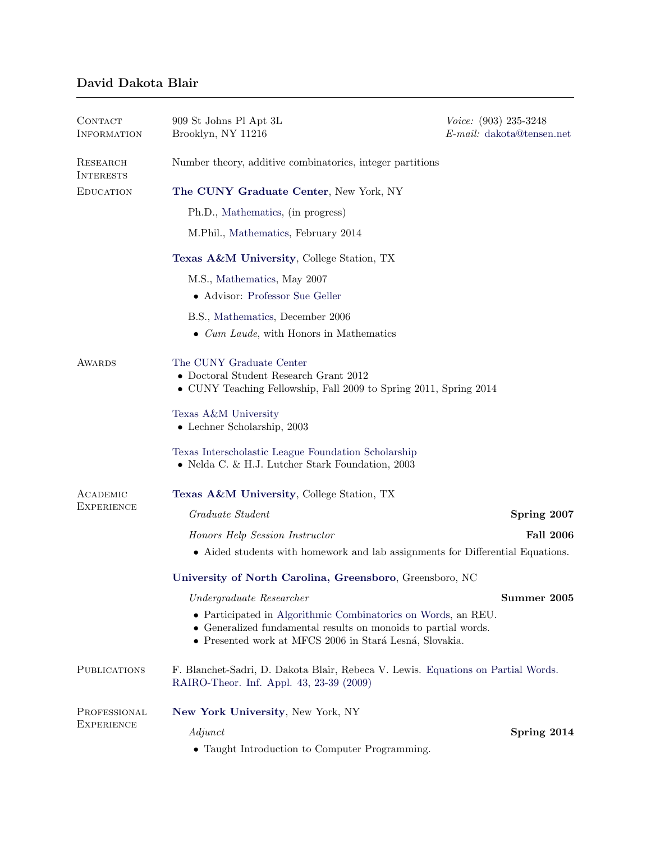# David Dakota Blair

| CONTACT<br><b>INFORMATION</b>     | 909 St Johns Pl Apt 3L<br>Brooklyn, NY 11216                                                                                                                                               | Voice: (903) 235-3248<br>$E$ -mail: dakota@tensen.net |  |
|-----------------------------------|--------------------------------------------------------------------------------------------------------------------------------------------------------------------------------------------|-------------------------------------------------------|--|
| RESEARCH<br><b>INTERESTS</b>      | Number theory, additive combinatorics, integer partitions                                                                                                                                  |                                                       |  |
| <b>EDUCATION</b>                  | The CUNY Graduate Center, New York, NY                                                                                                                                                     |                                                       |  |
|                                   | Ph.D., Mathematics, (in progress)                                                                                                                                                          |                                                       |  |
|                                   | M.Phil., Mathematics, February 2014                                                                                                                                                        |                                                       |  |
|                                   | <b>Texas A&amp;M University, College Station, TX</b>                                                                                                                                       |                                                       |  |
|                                   | M.S., Mathematics, May 2007                                                                                                                                                                |                                                       |  |
|                                   | • Advisor: Professor Sue Geller                                                                                                                                                            |                                                       |  |
|                                   | B.S., Mathematics, December 2006                                                                                                                                                           |                                                       |  |
|                                   | $\bullet$ <i>Cum Laude</i> , with Honors in Mathematics                                                                                                                                    |                                                       |  |
| <b>AWARDS</b>                     | The CUNY Graduate Center<br>$\bullet$ Doctoral Student Research Grant 2012<br>• CUNY Teaching Fellowship, Fall 2009 to Spring 2011, Spring 2014                                            |                                                       |  |
|                                   | Texas A&M University<br>$\bullet$ Lechner Scholarship, 2003                                                                                                                                |                                                       |  |
|                                   | Texas Interscholastic League Foundation Scholarship<br>• Nelda C. & H.J. Lutcher Stark Foundation, $2003$                                                                                  |                                                       |  |
| ACADEMIC<br><b>EXPERIENCE</b>     | Texas A&M University, College Station, TX                                                                                                                                                  |                                                       |  |
|                                   | Graduate Student                                                                                                                                                                           | Spring 2007                                           |  |
|                                   | Honors Help Session Instructor                                                                                                                                                             | <b>Fall 2006</b>                                      |  |
|                                   | $\bullet\,$ Aided students with homework and lab assignments for Differential Equations.                                                                                                   |                                                       |  |
|                                   | University of North Carolina, Greensboro, Greensboro, NC                                                                                                                                   |                                                       |  |
|                                   | Undergraduate Researcher                                                                                                                                                                   | Summer 2005                                           |  |
|                                   | • Participated in Algorithmic Combinatorics on Words, an REU.<br>• Generalized fundamental results on monoids to partial words.<br>• Presented work at MFCS 2006 in Stará Lesná, Slovakia. |                                                       |  |
| <b>PUBLICATIONS</b>               | F. Blanchet-Sadri, D. Dakota Blair, Rebeca V. Lewis. Equations on Partial Words.<br>RAIRO-Theor. Inf. Appl. 43, 23-39 (2009)                                                               |                                                       |  |
| PROFESSIONAL<br><b>EXPERIENCE</b> | New York University, New York, NY                                                                                                                                                          |                                                       |  |
|                                   | Adjunct                                                                                                                                                                                    | Spring 2014                                           |  |
|                                   | • Taught Introduction to Computer Programming.                                                                                                                                             |                                                       |  |